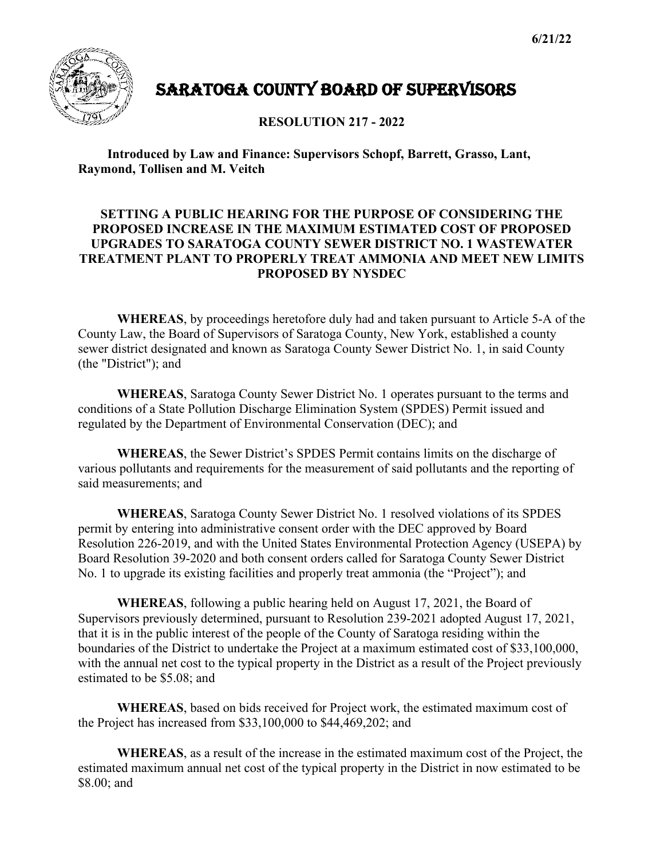

## SARATOGA COUNTY BOARD OF SUPERVISORS

**RESOLUTION 217 - 2022**

**Introduced by Law and Finance: Supervisors Schopf, Barrett, Grasso, Lant, Raymond, Tollisen and M. Veitch**

## **SETTING A PUBLIC HEARING FOR THE PURPOSE OF CONSIDERING THE PROPOSED INCREASE IN THE MAXIMUM ESTIMATED COST OF PROPOSED UPGRADES TO SARATOGA COUNTY SEWER DISTRICT NO. 1 WASTEWATER TREATMENT PLANT TO PROPERLY TREAT AMMONIA AND MEET NEW LIMITS PROPOSED BY NYSDEC**

**WHEREAS**, by proceedings heretofore duly had and taken pursuant to Article 5-A of the County Law, the Board of Supervisors of Saratoga County, New York, established a county sewer district designated and known as Saratoga County Sewer District No. 1, in said County (the "District"); and

**WHEREAS**, Saratoga County Sewer District No. 1 operates pursuant to the terms and conditions of a State Pollution Discharge Elimination System (SPDES) Permit issued and regulated by the Department of Environmental Conservation (DEC); and

**WHEREAS**, the Sewer District's SPDES Permit contains limits on the discharge of various pollutants and requirements for the measurement of said pollutants and the reporting of said measurements; and

**WHEREAS**, Saratoga County Sewer District No. 1 resolved violations of its SPDES permit by entering into administrative consent order with the DEC approved by Board Resolution 226-2019, and with the United States Environmental Protection Agency (USEPA) by Board Resolution 39-2020 and both consent orders called for Saratoga County Sewer District No. 1 to upgrade its existing facilities and properly treat ammonia (the "Project"); and

**WHEREAS**, following a public hearing held on August 17, 2021, the Board of Supervisors previously determined, pursuant to Resolution 239-2021 adopted August 17, 2021, that it is in the public interest of the people of the County of Saratoga residing within the boundaries of the District to undertake the Project at a maximum estimated cost of \$33,100,000, with the annual net cost to the typical property in the District as a result of the Project previously estimated to be \$5.08; and

**WHEREAS**, based on bids received for Project work, the estimated maximum cost of the Project has increased from \$33,100,000 to \$44,469,202; and

**WHEREAS**, as a result of the increase in the estimated maximum cost of the Project, the estimated maximum annual net cost of the typical property in the District in now estimated to be \$8.00; and